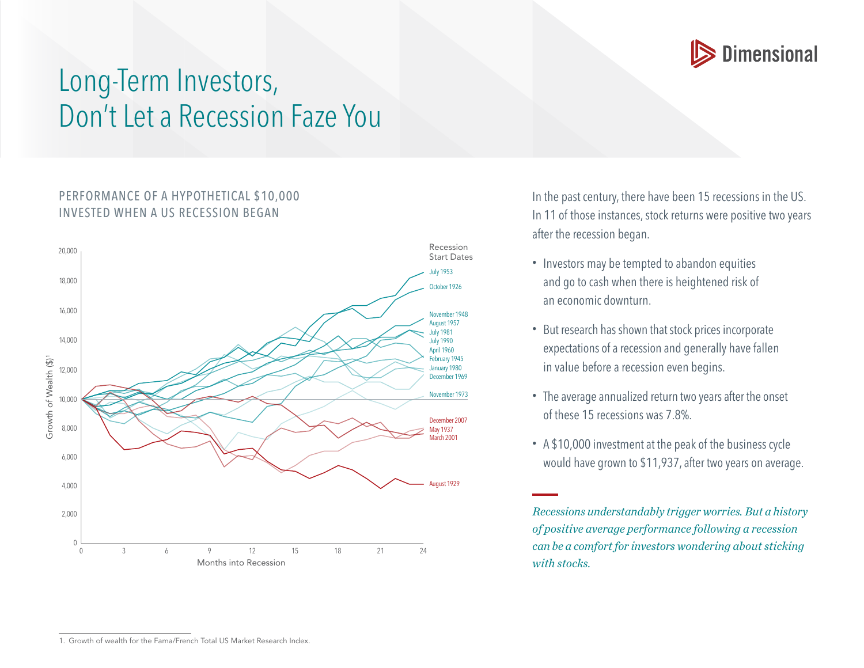

## Long-Term Investors, Don't Let a Recession Faze You

## PERFORMANCE OF A HYPOTHETICAL \$10,000 INVESTED WHEN A US RECESSION BEGAN



In the past century, there have been 15 recessions in the US. In 11 of those instances, stock returns were positive two years after the recession began.

- Investors may be tempted to abandon equities and go to cash when there is heightened risk of an economic downturn.
- But research has shown that stock prices incorporate expectations of a recession and generally have fallen in value before a recession even begins.
- The average annualized return two years after the onset of these 15 recessions was 7.8%.
- A \$10,000 investment at the peak of the business cycle would have grown to \$11,937, after two years on average.

*Recessions understandably trigger worries. But a history of positive average performance following a recession can be a comfort for investors wondering about sticking with stocks.*

<sup>1.</sup> Growth of wealth for the Fama/French Total US Market Research Index.